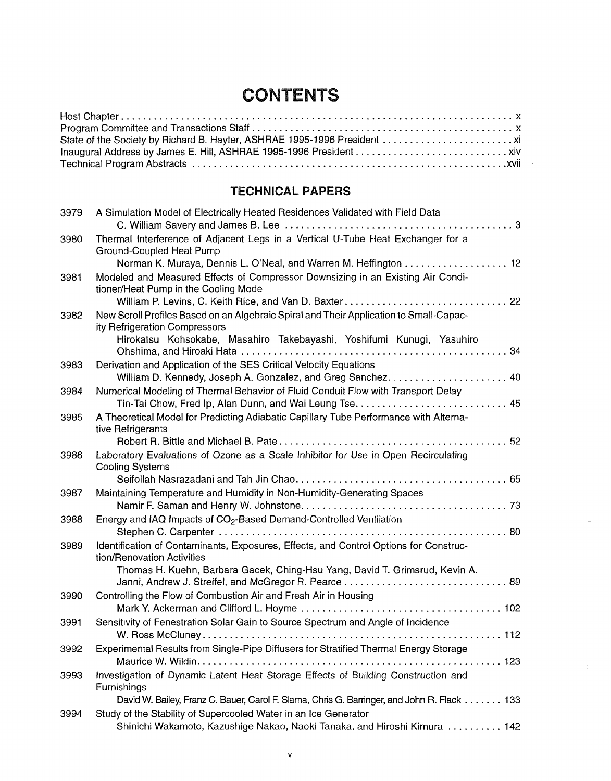## **CONTENTS**

## **TECHNICAL PAPERS**

| 3979 | A Simulation Model of Electrically Heated Residences Validated with Field Data                                          |
|------|-------------------------------------------------------------------------------------------------------------------------|
| 3980 | Thermal Interference of Adjacent Legs in a Vertical U-Tube Heat Exchanger for a<br>Ground-Coupled Heat Pump             |
|      | Norman K. Muraya, Dennis L. O'Neal, and Warren M. Heffington 12                                                         |
| 3981 | Modeled and Measured Effects of Compressor Downsizing in an Existing Air Condi-<br>tioner/Heat Pump in the Cooling Mode |
|      |                                                                                                                         |
| 3982 | New Scroll Profiles Based on an Algebraic Spiral and Their Application to Small-Capac-<br>ity Refrigeration Compressors |
|      | Hirokatsu Kohsokabe, Masahiro Takebayashi, Yoshifumi Kunugi, Yasuhiro                                                   |
|      |                                                                                                                         |
| 3983 | Derivation and Application of the SES Critical Velocity Equations                                                       |
|      | William D. Kennedy, Joseph A. Gonzalez, and Greg Sanchez 40                                                             |
| 3984 | Numerical Modeling of Thermal Behavior of Fluid Conduit Flow with Transport Delay                                       |
|      |                                                                                                                         |
| 3985 | A Theoretical Model for Predicting Adiabatic Capillary Tube Performance with Alterna-                                   |
|      | tive Refrigerants                                                                                                       |
|      |                                                                                                                         |
| 3986 | Laboratory Evaluations of Ozone as a Scale Inhibitor for Use in Open Recirculating                                      |
|      | <b>Cooling Systems</b>                                                                                                  |
|      |                                                                                                                         |
| 3987 | Maintaining Temperature and Humidity in Non-Humidity-Generating Spaces                                                  |
|      |                                                                                                                         |
| 3988 | Energy and IAQ Impacts of CO <sub>2</sub> -Based Demand-Controlled Ventilation                                          |
|      |                                                                                                                         |
| 3989 | Identification of Contaminants, Exposures, Effects, and Control Options for Construc-<br>tion/Renovation Activities     |
|      | Thomas H. Kuehn, Barbara Gacek, Ching-Hsu Yang, David T. Grimsrud, Kevin A.                                             |
|      |                                                                                                                         |
| 3990 | Controlling the Flow of Combustion Air and Fresh Air in Housing                                                         |
|      |                                                                                                                         |
| 3991 | Sensitivity of Fenestration Solar Gain to Source Spectrum and Angle of Incidence                                        |
|      |                                                                                                                         |
| 3992 | Experimental Results from Single-Pipe Diffusers for Stratified Thermal Energy Storage                                   |
|      |                                                                                                                         |
| 3993 | Investigation of Dynamic Latent Heat Storage Effects of Building Construction and                                       |
|      | Furnishings                                                                                                             |
|      | David W. Bailey, Franz C. Bauer, Carol F. Slama, Chris G. Barringer, and John R. Flack 133                              |
| 3994 | Study of the Stability of Supercooled Water in an Ice Generator                                                         |
|      | Shinichi Wakamoto, Kazushige Nakao, Naoki Tanaka, and Hiroshi Kimura  142                                               |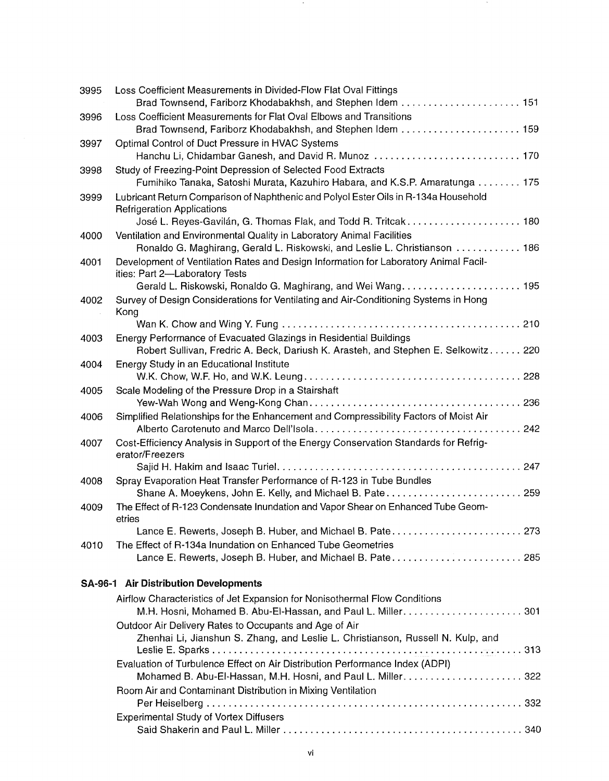| 3995 | Loss Coefficient Measurements in Divided-Flow Flat Oval Fittings                                                                                        |
|------|---------------------------------------------------------------------------------------------------------------------------------------------------------|
|      | Brad Townsend, Fariborz Khodabakhsh, and Stephen Idem  151                                                                                              |
| 3996 | Loss Coefficient Measurements for Flat Oval Elbows and Transitions<br>Brad Townsend, Fariborz Khodabakhsh, and Stephen Idem  159                        |
| 3997 | Optimal Control of Duct Pressure in HVAC Systems<br>Hanchu Li, Chidambar Ganesh, and David R. Munoz  170                                                |
| 3998 | Study of Freezing-Point Depression of Selected Food Extracts                                                                                            |
|      | Fumihiko Tanaka, Satoshi Murata, Kazuhiro Habara, and K.S.P. Amaratunga 175                                                                             |
| 3999 | Lubricant Return Comparison of Naphthenic and Polyol Ester Oils in R-134a Household<br><b>Refrigeration Applications</b>                                |
|      | José L. Reyes-Gavilán, G. Thomas Flak, and Todd R. Tritcak 180                                                                                          |
| 4000 | Ventilation and Environmental Quality in Laboratory Animal Facilities<br>Ronaldo G. Maghirang, Gerald L. Riskowski, and Leslie L. Christianson 186      |
| 4001 | Development of Ventilation Rates and Design Information for Laboratory Animal Facil-<br>ities: Part 2-Laboratory Tests                                  |
|      |                                                                                                                                                         |
| 4002 | Survey of Design Considerations for Ventilating and Air-Conditioning Systems in Hong<br>Kong                                                            |
|      |                                                                                                                                                         |
| 4003 | Energy Performance of Evacuated Glazings in Residential Buildings<br>Robert Sullivan, Fredric A. Beck, Dariush K. Arasteh, and Stephen E. Selkowitz 220 |
| 4004 | Energy Study in an Educational Institute                                                                                                                |
| 4005 | Scale Modeling of the Pressure Drop in a Stairshaft                                                                                                     |
| 4006 | Simplified Relationships for the Enhancement and Compressibility Factors of Moist Air                                                                   |
| 4007 | Cost-Efficiency Analysis in Support of the Energy Conservation Standards for Refrig-                                                                    |
|      | erator/Freezers                                                                                                                                         |
|      |                                                                                                                                                         |
| 4008 | Spray Evaporation Heat Transfer Performance of R-123 in Tube Bundles<br>Shane A. Moeykens, John E. Kelly, and Michael B. Pate 259                       |
| 4009 | The Effect of R-123 Condensate Inundation and Vapor Shear on Enhanced Tube Geom-<br>etries                                                              |
|      | Lance E. Rewerts, Joseph B. Huber, and Michael B. Pate 273                                                                                              |
| 4010 | The Effect of R-134a Inundation on Enhanced Tube Geometries                                                                                             |
|      | Lance E. Rewerts, Joseph B. Huber, and Michael B. Pate 285                                                                                              |
|      | <b>SA-96-1 Air Distribution Developments</b>                                                                                                            |
|      | Airflow Characteristics of Jet Expansion for Nonisothermal Flow Conditions                                                                              |
|      |                                                                                                                                                         |
|      | Outdoor Air Delivery Rates to Occupants and Age of Air                                                                                                  |
|      | Zhenhai Li, Jianshun S. Zhang, and Leslie L. Christianson, Russell N. Kulp, and                                                                         |
|      | Evaluation of Turbulence Effect on Air Distribution Performance Index (ADPI)                                                                            |
|      |                                                                                                                                                         |
|      | Room Air and Contaminant Distribution in Mixing Ventilation                                                                                             |
|      | <b>Experimental Study of Vortex Diffusers</b>                                                                                                           |
|      |                                                                                                                                                         |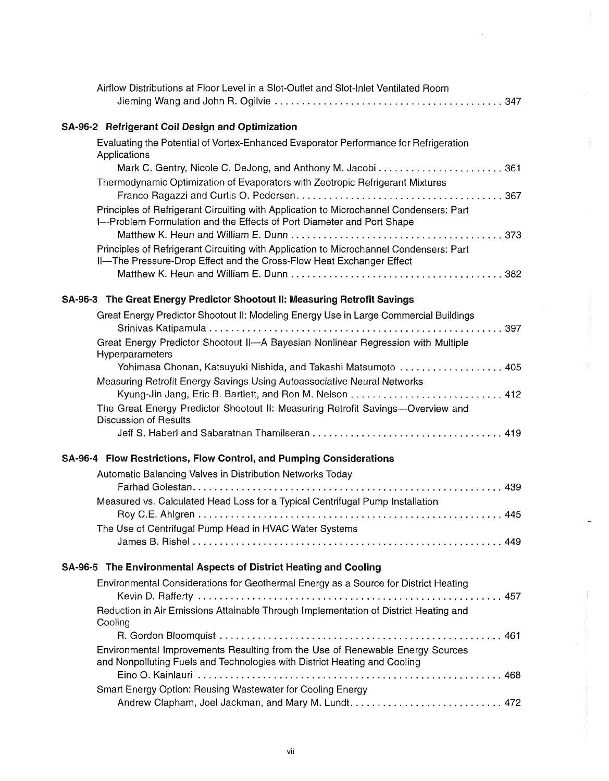| Airflow Distributions at Floor Level in a Slot-Outlet and Slot-Inlet Ventilated Room                                                                            |
|-----------------------------------------------------------------------------------------------------------------------------------------------------------------|
| SA-96-2 Refrigerant Coil Design and Optimization                                                                                                                |
| Evaluating the Potential of Vortex-Enhanced Evaporator Performance for Refrigeration<br>Applications                                                            |
|                                                                                                                                                                 |
| Thermodynamic Optimization of Evaporators with Zeotropic Refrigerant Mixtures                                                                                   |
|                                                                                                                                                                 |
| Principles of Refrigerant Circuiting with Application to Microchannel Condensers: Part<br>I-Problem Formulation and the Effects of Port Diameter and Port Shape |
|                                                                                                                                                                 |
| Principles of Refrigerant Circuiting with Application to Microchannel Condensers: Part<br>II-The Pressure-Drop Effect and the Cross-Flow Heat Exchanger Effect  |
|                                                                                                                                                                 |
| SA-96-3 The Great Energy Predictor Shootout II: Measuring Retrofit Savings                                                                                      |
| Great Energy Predictor Shootout II: Modeling Energy Use in Large Commercial Buildings                                                                           |
| Great Energy Predictor Shootout II-A Bayesian Nonlinear Regression with Multiple                                                                                |
| Hyperparameters                                                                                                                                                 |
| Yohimasa Chonan, Katsuyuki Nishida, and Takashi Matsumoto  405                                                                                                  |
| Measuring Retrofit Energy Savings Using Autoassociative Neural Networks<br>Kyung-Jin Jang, Eric B. Bartlett, and Ron M. Nelson  412                             |
| The Great Energy Predictor Shootout II: Measuring Retrofit Savings-Overview and                                                                                 |
| <b>Discussion of Results</b>                                                                                                                                    |
|                                                                                                                                                                 |
| SA-96-4 Flow Restrictions, Flow Control, and Pumping Considerations                                                                                             |
| Automatic Balancing Valves in Distribution Networks Today                                                                                                       |
|                                                                                                                                                                 |
| Measured vs. Calculated Head Loss for a Typical Centrifugal Pump Installation                                                                                   |
|                                                                                                                                                                 |
| The Use of Centrifugal Pump Head in HVAC Water Systems                                                                                                          |
|                                                                                                                                                                 |
| SA-96-5 The Environmental Aspects of District Heating and Cooling                                                                                               |
| Environmental Considerations for Geothermal Energy as a Source for District Heating                                                                             |
|                                                                                                                                                                 |
| Reduction in Air Emissions Attainable Through Implementation of District Heating and<br>Cooling                                                                 |
|                                                                                                                                                                 |
| Environmental Improvements Resulting from the Use of Renewable Energy Sources<br>and Nonpolluting Fuels and Technologies with District Heating and Cooling      |
|                                                                                                                                                                 |
| Smart Energy Option: Reusing Wastewater for Cooling Energy                                                                                                      |
|                                                                                                                                                                 |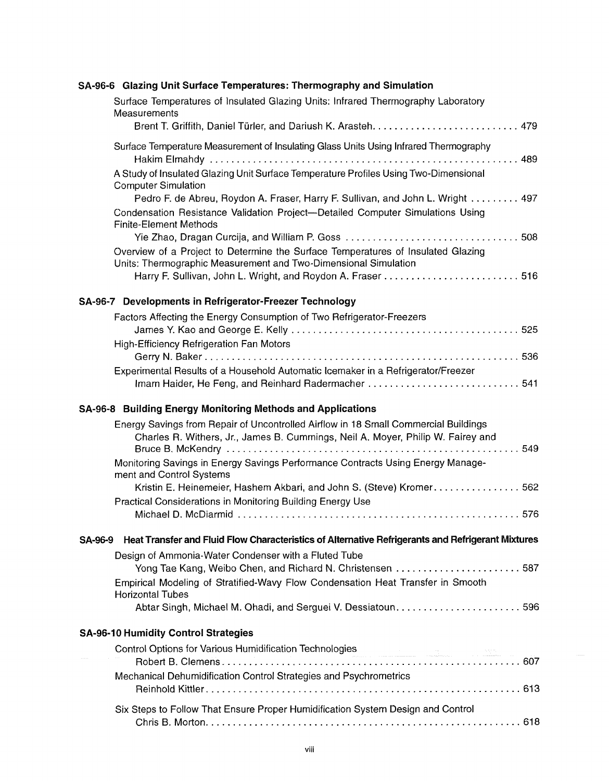|         | SA-96-6 Glazing Unit Surface Temperatures: Thermography and Simulation                                                                                                                               |
|---------|------------------------------------------------------------------------------------------------------------------------------------------------------------------------------------------------------|
|         | Surface Temperatures of Insulated Glazing Units: Infrared Thermography Laboratory<br>Measurements                                                                                                    |
|         |                                                                                                                                                                                                      |
|         | Surface Temperature Measurement of Insulating Glass Units Using Infrared Thermography                                                                                                                |
|         | A Study of Insulated Glazing Unit Surface Temperature Profiles Using Two-Dimensional<br><b>Computer Simulation</b>                                                                                   |
|         | Pedro F. de Abreu, Roydon A. Fraser, Harry F. Sullivan, and John L. Wright 497<br>Condensation Resistance Validation Project-Detailed Computer Simulations Using<br><b>Finite-Element Methods</b>    |
|         | Overview of a Project to Determine the Surface Temperatures of Insulated Glazing<br>Units: Thermographic Measurement and Two-Dimensional Simulation                                                  |
|         | SA-96-7 Developments in Refrigerator-Freezer Technology                                                                                                                                              |
|         | Factors Affecting the Energy Consumption of Two Refrigerator-Freezers                                                                                                                                |
|         | <b>High-Efficiency Refrigeration Fan Motors</b>                                                                                                                                                      |
|         | Experimental Results of a Household Automatic Icemaker in a Refrigerator/Freezer                                                                                                                     |
|         | SA-96-8 Building Energy Monitoring Methods and Applications                                                                                                                                          |
|         | Energy Savings from Repair of Uncontrolled Airflow in 18 Small Commercial Buildings<br>Charles R. Withers, Jr., James B. Cummings, Neil A. Moyer, Philip W. Fairey and                               |
|         | Monitoring Savings in Energy Savings Performance Contracts Using Energy Manage-<br>ment and Control Systems                                                                                          |
|         | Kristin E. Heinemeier, Hashem Akbari, and John S. (Steve) Kromer562<br>Practical Considerations in Monitoring Building Energy Use                                                                    |
|         |                                                                                                                                                                                                      |
| SA-96-9 | Heat Transfer and Fluid Flow Characteristics of Alternative Refrigerants and Refrigerant Mixtures                                                                                                    |
|         | Design of Ammonia-Water Condenser with a Fluted Tube<br>Yong Tae Kang, Weibo Chen, and Richard N. Christensen 587<br>Empirical Modeling of Stratified-Wavy Flow Condensation Heat Transfer in Smooth |
|         | <b>Horizontal Tubes</b><br>Abtar Singh, Michael M. Ohadi, and Serguei V. Dessiatoun596                                                                                                               |
|         | <b>SA-96-10 Humidity Control Strategies</b>                                                                                                                                                          |
|         |                                                                                                                                                                                                      |
|         | Mechanical Dehumidification Control Strategies and Psychrometrics                                                                                                                                    |
|         | Six Steps to Follow That Ensure Proper Humidification System Design and Control                                                                                                                      |